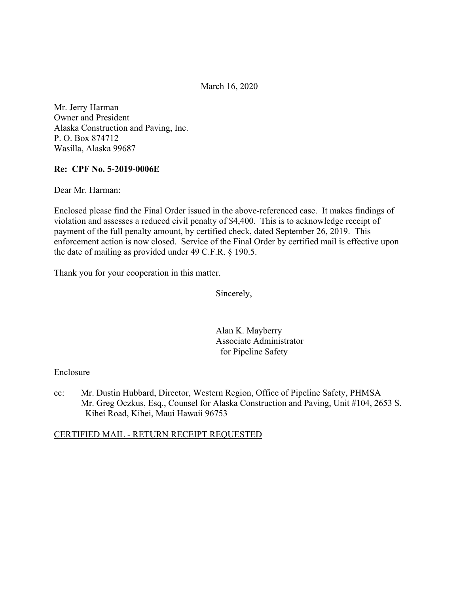March 16, 2020

Mr. Jerry Harman Owner and President Alaska Construction and Paving, Inc. P. O. Box 874712 Wasilla, Alaska 99687

### **Re: CPF No. 5-2019-0006E**

Dear Mr. Harman:

Enclosed please find the Final Order issued in the above-referenced case. It makes findings of violation and assesses a reduced civil penalty of \$4,400. This is to acknowledge receipt of payment of the full penalty amount, by certified check, dated September 26, 2019. This enforcement action is now closed. Service of the Final Order by certified mail is effective upon the date of mailing as provided under 49 C.F.R. § 190.5.

Thank you for your cooperation in this matter.

Sincerely,

Alan K. Mayberry Associate Administrator for Pipeline Safety

### Enclosure

cc: Mr. Dustin Hubbard, Director, Western Region, Office of Pipeline Safety, PHMSA Mr. Greg Oczkus, Esq., Counsel for Alaska Construction and Paving, Unit #104, 2653 S. Kihei Road, Kihei, Maui Hawaii 96753

### CERTIFIED MAIL - RETURN RECEIPT REQUESTED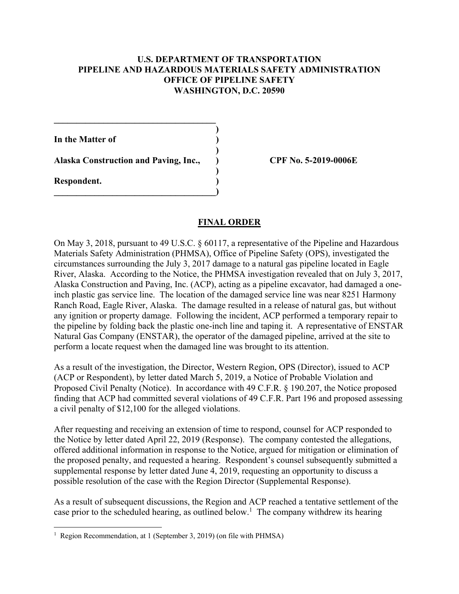### **U.S. DEPARTMENT OF TRANSPORTATION PIPELINE AND HAZARDOUS MATERIALS SAFETY ADMINISTRATION OFFICE OF PIPELINE SAFETY WASHINGTON, D.C. 20590**

**)** 

**)** 

**In the Matter of )** 

**Alaska Construction and Paving, Inc., ) CPF No. 5-2019-0006E**

 **)** 

 $\overline{\phantom{a}}$ 

**\_\_\_\_\_\_\_\_\_\_\_\_\_\_\_\_\_\_\_\_\_\_\_\_\_\_\_\_\_\_\_\_\_\_\_\_** 

**Respondent. )** 

 $\overline{a}$ 

## **FINAL ORDER**

On May 3, 2018, pursuant to 49 U.S.C. § 60117, a representative of the Pipeline and Hazardous Materials Safety Administration (PHMSA), Office of Pipeline Safety (OPS), investigated the circumstances surrounding the July 3, 2017 damage to a natural gas pipeline located in Eagle River, Alaska. According to the Notice, the PHMSA investigation revealed that on July 3, 2017, Alaska Construction and Paving, Inc. (ACP), acting as a pipeline excavator, had damaged a oneinch plastic gas service line. The location of the damaged service line was near 8251 Harmony Ranch Road, Eagle River, Alaska. The damage resulted in a release of natural gas, but without any ignition or property damage. Following the incident, ACP performed a temporary repair to the pipeline by folding back the plastic one-inch line and taping it. A representative of ENSTAR Natural Gas Company (ENSTAR), the operator of the damaged pipeline, arrived at the site to perform a locate request when the damaged line was brought to its attention.

As a result of the investigation, the Director, Western Region, OPS (Director), issued to ACP (ACP or Respondent), by letter dated March 5, 2019, a Notice of Probable Violation and Proposed Civil Penalty (Notice). In accordance with 49 C.F.R. § 190.207, the Notice proposed finding that ACP had committed several violations of 49 C.F.R. Part 196 and proposed assessing a civil penalty of \$12,100 for the alleged violations.

After requesting and receiving an extension of time to respond, counsel for ACP responded to the Notice by letter dated April 22, 2019 (Response). The company contested the allegations, offered additional information in response to the Notice, argued for mitigation or elimination of the proposed penalty, and requested a hearing. Respondent's counsel subsequently submitted a supplemental response by letter dated June 4, 2019, requesting an opportunity to discuss a possible resolution of the case with the Region Director (Supplemental Response).

As a result of subsequent discussions, the Region and ACP reached a tentative settlement of the case prior to the scheduled hearing, as outlined below.<sup>1</sup> The company withdrew its hearing

<sup>&</sup>lt;sup>1</sup> Region Recommendation, at 1 (September 3, 2019) (on file with PHMSA)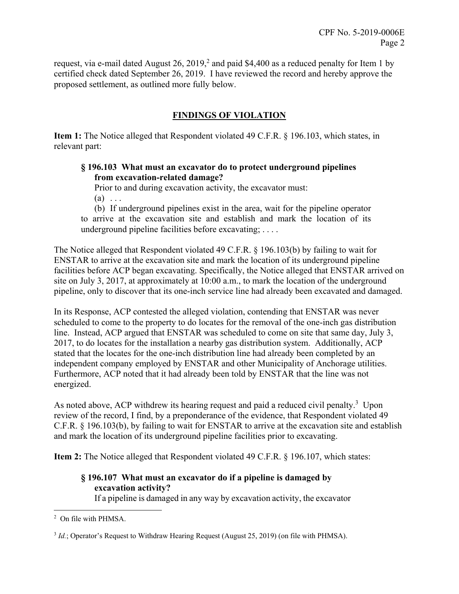request, via e-mail dated August 26, 2019,<sup>2</sup> and paid \$4,400 as a reduced penalty for Item 1 by certified check dated September 26, 2019. I have reviewed the record and hereby approve the proposed settlement, as outlined more fully below.

# **FINDINGS OF VIOLATION**

**Item 1:** The Notice alleged that Respondent violated 49 C.F.R. § 196.103, which states, in relevant part:

# **§ 196.103 What must an excavator do to protect underground pipelines from excavation-related damage?**

Prior to and during excavation activity, the excavator must:  $(a) \ldots$ 

(b) If underground pipelines exist in the area, wait for the pipeline operator to arrive at the excavation site and establish and mark the location of its underground pipeline facilities before excavating; . . . .

The Notice alleged that Respondent violated 49 C.F.R. § 196.103(b) by failing to wait for ENSTAR to arrive at the excavation site and mark the location of its underground pipeline facilities before ACP began excavating. Specifically, the Notice alleged that ENSTAR arrived on site on July 3, 2017, at approximately at 10:00 a.m., to mark the location of the underground pipeline, only to discover that its one-inch service line had already been excavated and damaged.

In its Response, ACP contested the alleged violation, contending that ENSTAR was never scheduled to come to the property to do locates for the removal of the one-inch gas distribution line. Instead, ACP argued that ENSTAR was scheduled to come on site that same day, July 3, 2017, to do locates for the installation a nearby gas distribution system. Additionally, ACP stated that the locates for the one-inch distribution line had already been completed by an independent company employed by ENSTAR and other Municipality of Anchorage utilities. Furthermore, ACP noted that it had already been told by ENSTAR that the line was not energized.

As noted above, ACP withdrew its hearing request and paid a reduced civil penalty.<sup>3</sup> Upon review of the record, I find, by a preponderance of the evidence, that Respondent violated 49 C.F.R. § 196.103(b), by failing to wait for ENSTAR to arrive at the excavation site and establish and mark the location of its underground pipeline facilities prior to excavating.

**Item 2:** The Notice alleged that Respondent violated 49 C.F.R. § 196.107, which states:

# **§ 196.107 What must an excavator do if a pipeline is damaged by excavation activity?**

If a pipeline is damaged in any way by excavation activity, the excavator

<sup>1</sup> 2 On file with PHMSA.

<sup>3</sup> *Id.*; Operator's Request to Withdraw Hearing Request (August 25, 2019) (on file with PHMSA).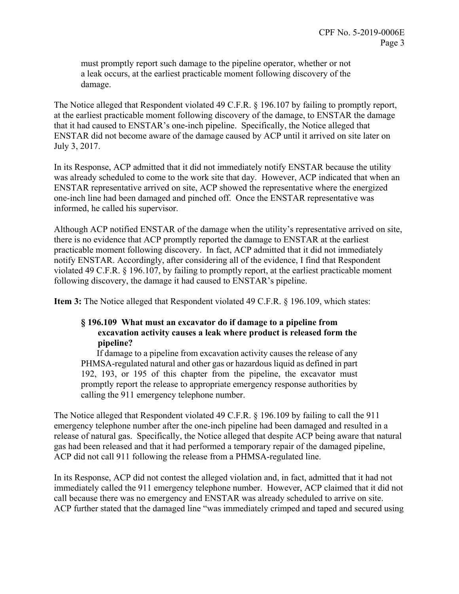must promptly report such damage to the pipeline operator, whether or not a leak occurs, at the earliest practicable moment following discovery of the damage.

The Notice alleged that Respondent violated 49 C.F.R. § 196.107 by failing to promptly report, at the earliest practicable moment following discovery of the damage, to ENSTAR the damage that it had caused to ENSTAR's one-inch pipeline. Specifically, the Notice alleged that ENSTAR did not become aware of the damage caused by ACP until it arrived on site later on July 3, 2017.

In its Response, ACP admitted that it did not immediately notify ENSTAR because the utility was already scheduled to come to the work site that day. However, ACP indicated that when an ENSTAR representative arrived on site, ACP showed the representative where the energized one-inch line had been damaged and pinched off. Once the ENSTAR representative was informed, he called his supervisor.

Although ACP notified ENSTAR of the damage when the utility's representative arrived on site, there is no evidence that ACP promptly reported the damage to ENSTAR at the earliest practicable moment following discovery. In fact, ACP admitted that it did not immediately notify ENSTAR. Accordingly, after considering all of the evidence, I find that Respondent violated 49 C.F.R. § 196.107, by failing to promptly report, at the earliest practicable moment following discovery, the damage it had caused to ENSTAR's pipeline.

**Item 3:** The Notice alleged that Respondent violated 49 C.F.R. § 196.109, which states:

## **§ 196.109 What must an excavator do if damage to a pipeline from excavation activity causes a leak where product is released form the pipeline?**

If damage to a pipeline from excavation activity causes the release of any PHMSA-regulated natural and other gas or hazardous liquid as defined in part 192, 193, or 195 of this chapter from the pipeline, the excavator must promptly report the release to appropriate emergency response authorities by calling the 911 emergency telephone number.

The Notice alleged that Respondent violated 49 C.F.R. § 196.109 by failing to call the 911 emergency telephone number after the one-inch pipeline had been damaged and resulted in a release of natural gas. Specifically, the Notice alleged that despite ACP being aware that natural gas had been released and that it had performed a temporary repair of the damaged pipeline, ACP did not call 911 following the release from a PHMSA-regulated line.

In its Response, ACP did not contest the alleged violation and, in fact, admitted that it had not immediately called the 911 emergency telephone number. However, ACP claimed that it did not call because there was no emergency and ENSTAR was already scheduled to arrive on site. ACP further stated that the damaged line "was immediately crimped and taped and secured using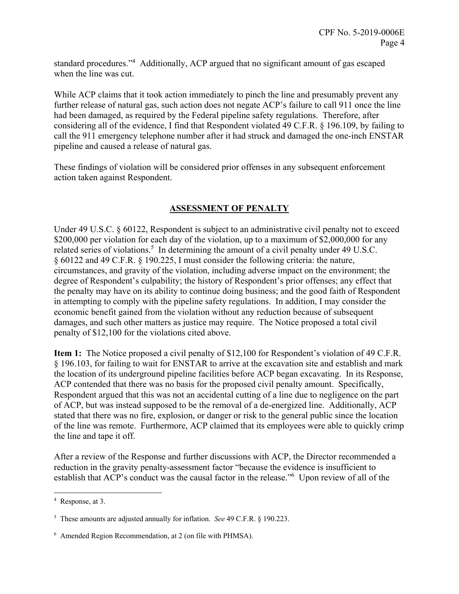standard procedures."<sup>4</sup> Additionally, ACP argued that no significant amount of gas escaped when the line was cut.

While ACP claims that it took action immediately to pinch the line and presumably prevent any further release of natural gas, such action does not negate ACP's failure to call 911 once the line had been damaged, as required by the Federal pipeline safety regulations. Therefore, after considering all of the evidence, I find that Respondent violated 49 C.F.R. § 196.109, by failing to call the 911 emergency telephone number after it had struck and damaged the one-inch ENSTAR pipeline and caused a release of natural gas.

These findings of violation will be considered prior offenses in any subsequent enforcement action taken against Respondent.

# **ASSESSMENT OF PENALTY**

Under 49 U.S.C. § 60122, Respondent is subject to an administrative civil penalty not to exceed \$200,000 per violation for each day of the violation, up to a maximum of \$2,000,000 for any related series of violations.<sup>5</sup> In determining the amount of a civil penalty under 49 U.S.C. § 60122 and 49 C.F.R. § 190.225, I must consider the following criteria: the nature, circumstances, and gravity of the violation, including adverse impact on the environment; the degree of Respondent's culpability; the history of Respondent's prior offenses; any effect that the penalty may have on its ability to continue doing business; and the good faith of Respondent in attempting to comply with the pipeline safety regulations. In addition, I may consider the economic benefit gained from the violation without any reduction because of subsequent damages, and such other matters as justice may require. The Notice proposed a total civil penalty of \$12,100 for the violations cited above.

**Item 1:** The Notice proposed a civil penalty of \$12,100 for Respondent's violation of 49 C.F.R. § 196.103, for failing to wait for ENSTAR to arrive at the excavation site and establish and mark the location of its underground pipeline facilities before ACP began excavating. In its Response, ACP contended that there was no basis for the proposed civil penalty amount. Specifically, Respondent argued that this was not an accidental cutting of a line due to negligence on the part of ACP, but was instead supposed to be the removal of a de-energized line. Additionally, ACP stated that there was no fire, explosion, or danger or risk to the general public since the location of the line was remote. Furthermore, ACP claimed that its employees were able to quickly crimp the line and tape it off.

After a review of the Response and further discussions with ACP, the Director recommended a reduction in the gravity penalty-assessment factor "because the evidence is insufficient to establish that ACP's conduct was the causal factor in the release."6 Upon review of all of the

 $\overline{a}$ 

<sup>4</sup> Response, at 3.

 5 These amounts are adjusted annually for inflation. *See* 49 C.F.R. § 190.223.

 6 Amended Region Recommendation, at 2 (on file with PHMSA).